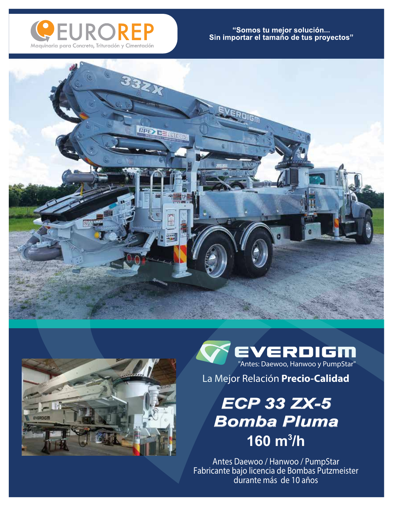

## "Somos tu mejor solución...<br>Sin importar el tamaño de tus proyectos"





EVERDIGM "Antes: Daewoo, Hanwoo y PumpStar"

La Mejor Relación **Precio-Calidad**

## *ECP 33 ZX-5 Bomba Pluma* **160 m<sup>3</sup>/h**

**Antes Daewoo / Hanwoo / PumpStar Fabricante bajo licencia de Bombas Putzmeister durante más de 10 años**